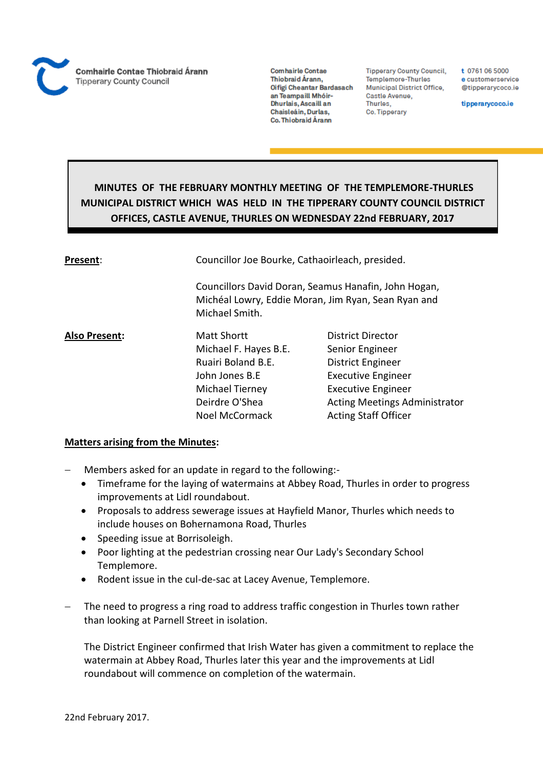**Comhairle Contae** Thiobraid Árann, Oifigi Cheantar Bardasach an Teampaill Mhóir-Dhurlais, Ascaill an Chaisleáin, Durlas, Co. Thiobraid Árann

**Tipperary County Council,** Templemore-Thurles Municipal District Office, Castle Avenue, Thurles, Co. Tipperary

t 0761 06 5000 e customerservice @tipperarycoco.ie

tipperarycoco.ie

# **MINUTES OF THE FEBRUARY MONTHLY MEETING OF THE TEMPLEMORE-THURLES MUNICIPAL DISTRICT WHICH WAS HELD IN THE TIPPERARY COUNTY COUNCIL DISTRICT OFFICES, CASTLE AVENUE, THURLES ON WEDNESDAY 22nd FEBRUARY, 2017**

| Present:             | Councillor Joe Bourke, Cathaoirleach, presided. |                                                                                                             |  |
|----------------------|-------------------------------------------------|-------------------------------------------------------------------------------------------------------------|--|
|                      | Michael Smith.                                  | Councillors David Doran, Seamus Hanafin, John Hogan,<br>Michéal Lowry, Eddie Moran, Jim Ryan, Sean Ryan and |  |
| <b>Also Present:</b> | <b>Matt Shortt</b>                              | <b>District Director</b>                                                                                    |  |
|                      | Michael F. Hayes B.E.                           | Senior Engineer                                                                                             |  |
|                      | Ruairi Boland B.E.                              | <b>District Engineer</b>                                                                                    |  |
|                      | John Jones B.E                                  | <b>Executive Engineer</b>                                                                                   |  |
|                      | Michael Tierney                                 | <b>Executive Engineer</b>                                                                                   |  |
|                      | Deirdre O'Shea                                  | <b>Acting Meetings Administrator</b>                                                                        |  |
|                      | <b>Noel McCormack</b>                           | <b>Acting Staff Officer</b>                                                                                 |  |

# **Matters arising from the Minutes:**

- Members asked for an update in regard to the following:-
	- Timeframe for the laying of watermains at Abbey Road, Thurles in order to progress improvements at Lidl roundabout.
	- Proposals to address sewerage issues at Hayfield Manor, Thurles which needs to include houses on Bohernamona Road, Thurles
	- Speeding issue at Borrisoleigh.
	- Poor lighting at the pedestrian crossing near Our Lady's Secondary School Templemore.
	- Rodent issue in the cul-de-sac at Lacey Avenue, Templemore.
- The need to progress a ring road to address traffic congestion in Thurles town rather than looking at Parnell Street in isolation.

The District Engineer confirmed that Irish Water has given a commitment to replace the watermain at Abbey Road, Thurles later this year and the improvements at Lidl roundabout will commence on completion of the watermain.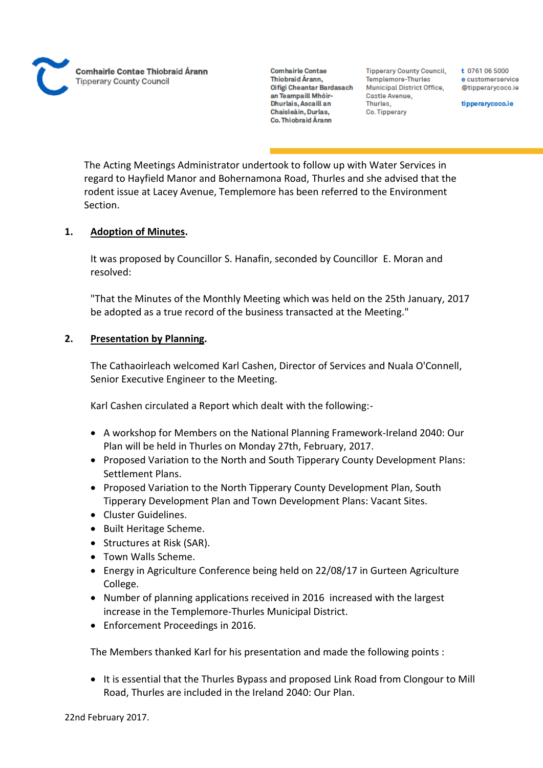**Comhairle Contae** Thiobraid Árann. Oifigi Cheantar Bardasach an Teampaill Mhóir-Dhurlais, Ascaill an Chaisleáin, Durlas, Co. Thiobraid Árann

**Tipperary County Council,** Templemore-Thurles Municipal District Office, Castle Avenue, Thurles. Co. Tipperary

t 0761 06 5000 e customerservice @tipperarvcoco.ie

tipperarycoco.ie

The Acting Meetings Administrator undertook to follow up with Water Services in regard to Hayfield Manor and Bohernamona Road, Thurles and she advised that the rodent issue at Lacey Avenue, Templemore has been referred to the Environment Section.

# **1. Adoption of Minutes.**

It was proposed by Councillor S. Hanafin, seconded by Councillor E. Moran and resolved:

"That the Minutes of the Monthly Meeting which was held on the 25th January, 2017 be adopted as a true record of the business transacted at the Meeting."

# **2. Presentation by Planning.**

The Cathaoirleach welcomed Karl Cashen, Director of Services and Nuala O'Connell, Senior Executive Engineer to the Meeting.

Karl Cashen circulated a Report which dealt with the following:-

- A workshop for Members on the National Planning Framework-Ireland 2040: Our Plan will be held in Thurles on Monday 27th, February, 2017.
- Proposed Variation to the North and South Tipperary County Development Plans: Settlement Plans.
- Proposed Variation to the North Tipperary County Development Plan, South Tipperary Development Plan and Town Development Plans: Vacant Sites.
- Cluster Guidelines.
- Built Heritage Scheme.
- Structures at Risk (SAR).
- Town Walls Scheme.
- Energy in Agriculture Conference being held on 22/08/17 in Gurteen Agriculture College.
- Number of planning applications received in 2016 increased with the largest increase in the Templemore-Thurles Municipal District.
- Enforcement Proceedings in 2016.

The Members thanked Karl for his presentation and made the following points :

• It is essential that the Thurles Bypass and proposed Link Road from Clongour to Mill Road, Thurles are included in the Ireland 2040: Our Plan.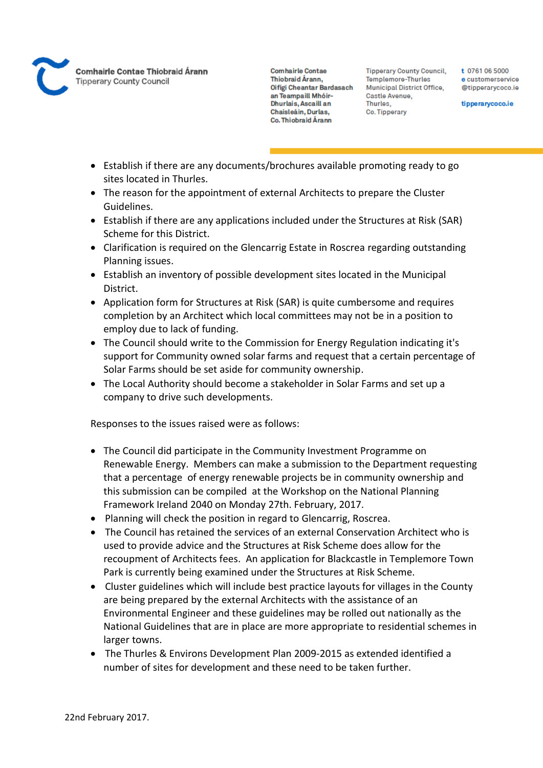

**Tipperary County Council,** Templemore-Thurles Municipal District Office, Castle Avenue, Thurles, Co. Tipperary

t 0761 06 5000 e customerservice @tipperarycoco.ie

tipperarycoco.ie

- Establish if there are any documents/brochures available promoting ready to go sites located in Thurles.
- The reason for the appointment of external Architects to prepare the Cluster Guidelines.
- Establish if there are any applications included under the Structures at Risk (SAR) Scheme for this District.
- Clarification is required on the Glencarrig Estate in Roscrea regarding outstanding Planning issues.
- Establish an inventory of possible development sites located in the Municipal District.
- Application form for Structures at Risk (SAR) is quite cumbersome and requires completion by an Architect which local committees may not be in a position to employ due to lack of funding.
- The Council should write to the Commission for Energy Regulation indicating it's support for Community owned solar farms and request that a certain percentage of Solar Farms should be set aside for community ownership.
- The Local Authority should become a stakeholder in Solar Farms and set up a company to drive such developments.

Responses to the issues raised were as follows:

- The Council did participate in the Community Investment Programme on Renewable Energy. Members can make a submission to the Department requesting that a percentage of energy renewable projects be in community ownership and this submission can be compiled at the Workshop on the National Planning Framework Ireland 2040 on Monday 27th. February, 2017.
- Planning will check the position in regard to Glencarrig, Roscrea.
- The Council has retained the services of an external Conservation Architect who is used to provide advice and the Structures at Risk Scheme does allow for the recoupment of Architects fees. An application for Blackcastle in Templemore Town Park is currently being examined under the Structures at Risk Scheme.
- Cluster guidelines which will include best practice layouts for villages in the County are being prepared by the external Architects with the assistance of an Environmental Engineer and these guidelines may be rolled out nationally as the National Guidelines that are in place are more appropriate to residential schemes in larger towns.
- The Thurles & Environs Development Plan 2009-2015 as extended identified a number of sites for development and these need to be taken further.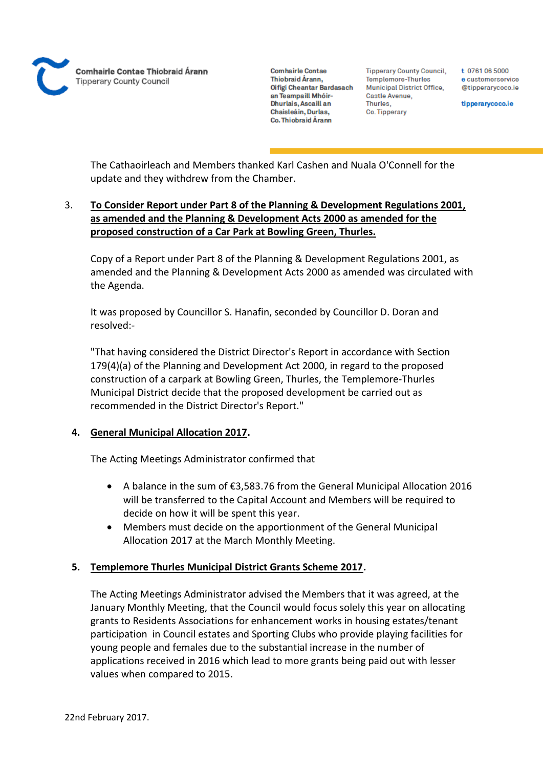

**Tipperary County Council,** Templemore-Thurles Municipal District Office, Castle Avenue, Thurles. Co. Tipperary

t 0761 06 5000 e customerservice @tipperarvcoco.ie

tipperarycoco.ie

The Cathaoirleach and Members thanked Karl Cashen and Nuala O'Connell for the update and they withdrew from the Chamber.

# 3. **To Consider Report under Part 8 of the Planning & Development Regulations 2001, as amended and the Planning & Development Acts 2000 as amended for the proposed construction of a Car Park at Bowling Green, Thurles.**

Copy of a Report under Part 8 of the Planning & Development Regulations 2001, as amended and the Planning & Development Acts 2000 as amended was circulated with the Agenda.

It was proposed by Councillor S. Hanafin, seconded by Councillor D. Doran and resolved:-

"That having considered the District Director's Report in accordance with Section 179(4)(a) of the Planning and Development Act 2000, in regard to the proposed construction of a carpark at Bowling Green, Thurles, the Templemore-Thurles Municipal District decide that the proposed development be carried out as recommended in the District Director's Report."

# **4. General Municipal Allocation 2017.**

The Acting Meetings Administrator confirmed that

- A balance in the sum of €3,583.76 from the General Municipal Allocation 2016 will be transferred to the Capital Account and Members will be required to decide on how it will be spent this year.
- Members must decide on the apportionment of the General Municipal Allocation 2017 at the March Monthly Meeting.

# **5. Templemore Thurles Municipal District Grants Scheme 2017.**

The Acting Meetings Administrator advised the Members that it was agreed, at the January Monthly Meeting, that the Council would focus solely this year on allocating grants to Residents Associations for enhancement works in housing estates/tenant participation in Council estates and Sporting Clubs who provide playing facilities for young people and females due to the substantial increase in the number of applications received in 2016 which lead to more grants being paid out with lesser values when compared to 2015.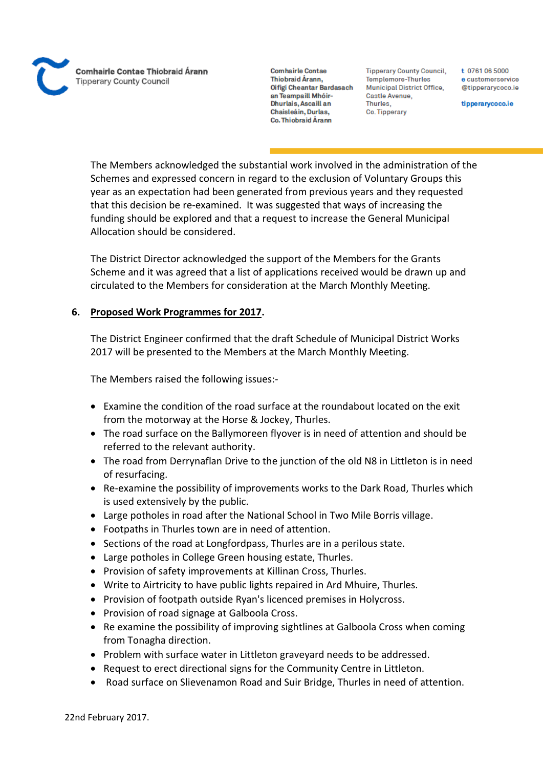**Comhairle Contae** Thiobraid Árann. Oifigi Cheantar Bardasach an Teampaill Mhóir-Dhurlais, Ascaill an Chaisleáin, Durlas, Co. Thiobraid Árann

**Tipperary County Council,** Templemore-Thurles Municipal District Office, Castle Avenue, Thurles, Co. Tipperary

t 0761 06 5000 e customerservice @tipperarycoco.ie

tipperarycoco.ie

The Members acknowledged the substantial work involved in the administration of the Schemes and expressed concern in regard to the exclusion of Voluntary Groups this year as an expectation had been generated from previous years and they requested that this decision be re-examined. It was suggested that ways of increasing the funding should be explored and that a request to increase the General Municipal Allocation should be considered.

The District Director acknowledged the support of the Members for the Grants Scheme and it was agreed that a list of applications received would be drawn up and circulated to the Members for consideration at the March Monthly Meeting.

# **6. Proposed Work Programmes for 2017.**

The District Engineer confirmed that the draft Schedule of Municipal District Works 2017 will be presented to the Members at the March Monthly Meeting.

The Members raised the following issues:-

- Examine the condition of the road surface at the roundabout located on the exit from the motorway at the Horse & Jockey, Thurles.
- The road surface on the Ballymoreen flyover is in need of attention and should be referred to the relevant authority.
- The road from Derrynaflan Drive to the junction of the old N8 in Littleton is in need of resurfacing.
- Re-examine the possibility of improvements works to the Dark Road, Thurles which is used extensively by the public.
- Large potholes in road after the National School in Two Mile Borris village.
- Footpaths in Thurles town are in need of attention.
- Sections of the road at Longfordpass, Thurles are in a perilous state.
- Large potholes in College Green housing estate, Thurles.
- Provision of safety improvements at Killinan Cross, Thurles.
- Write to Airtricity to have public lights repaired in Ard Mhuire, Thurles.
- Provision of footpath outside Ryan's licenced premises in Holycross.
- Provision of road signage at Galboola Cross.
- Re examine the possibility of improving sightlines at Galboola Cross when coming from Tonagha direction.
- Problem with surface water in Littleton graveyard needs to be addressed.
- Request to erect directional signs for the Community Centre in Littleton.
- Road surface on Slievenamon Road and Suir Bridge, Thurles in need of attention.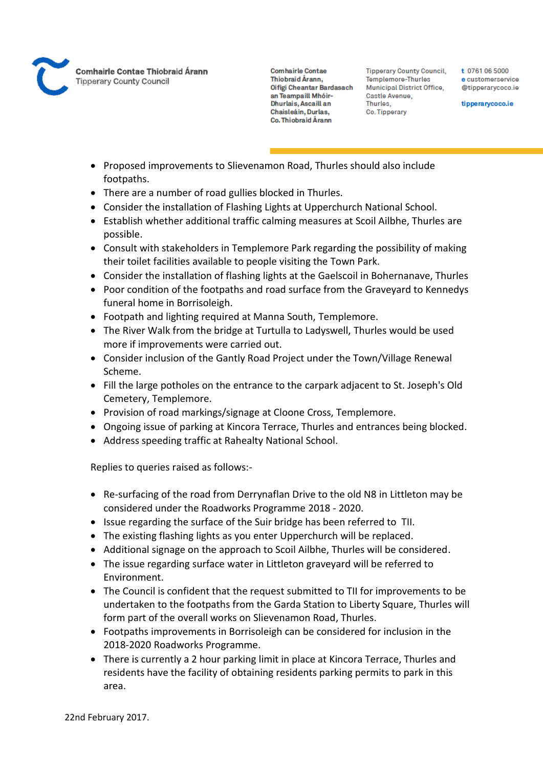

**Comhairle Contae** Thiobraid Árann. Oifigi Cheantar Bardasach an Teampaill Mhóir-Dhurlais, Ascaill an Chaisleáin, Durlas, Co. Thiobraid Árann

**Tipperary County Council,** Templemore-Thurles Municipal District Office, Castle Avenue, Thurles, Co. Tipperary

t 0761 06 5000 e customerservice @tipperarvcoco.ie

tipperarycoco.ie

- Proposed improvements to Slievenamon Road, Thurles should also include footpaths.
- There are a number of road gullies blocked in Thurles.
- Consider the installation of Flashing Lights at Upperchurch National School.
- Establish whether additional traffic calming measures at Scoil Ailbhe, Thurles are possible.
- Consult with stakeholders in Templemore Park regarding the possibility of making their toilet facilities available to people visiting the Town Park.
- Consider the installation of flashing lights at the Gaelscoil in Bohernanave, Thurles
- Poor condition of the footpaths and road surface from the Graveyard to Kennedys funeral home in Borrisoleigh.
- Footpath and lighting required at Manna South, Templemore.
- The River Walk from the bridge at Turtulla to Ladyswell, Thurles would be used more if improvements were carried out.
- Consider inclusion of the Gantly Road Project under the Town/Village Renewal Scheme.
- Fill the large potholes on the entrance to the carpark adjacent to St. Joseph's Old Cemetery, Templemore.
- Provision of road markings/signage at Cloone Cross, Templemore.
- Ongoing issue of parking at Kincora Terrace, Thurles and entrances being blocked.
- Address speeding traffic at Rahealty National School.

Replies to queries raised as follows:-

- Re-surfacing of the road from Derrynaflan Drive to the old N8 in Littleton may be considered under the Roadworks Programme 2018 - 2020.
- Issue regarding the surface of the Suir bridge has been referred to TII.
- The existing flashing lights as you enter Upperchurch will be replaced.
- Additional signage on the approach to Scoil Ailbhe, Thurles will be considered.
- The issue regarding surface water in Littleton graveyard will be referred to Environment.
- The Council is confident that the request submitted to TII for improvements to be undertaken to the footpaths from the Garda Station to Liberty Square, Thurles will form part of the overall works on Slievenamon Road, Thurles.
- Footpaths improvements in Borrisoleigh can be considered for inclusion in the 2018-2020 Roadworks Programme.
- There is currently a 2 hour parking limit in place at Kincora Terrace, Thurles and residents have the facility of obtaining residents parking permits to park in this area.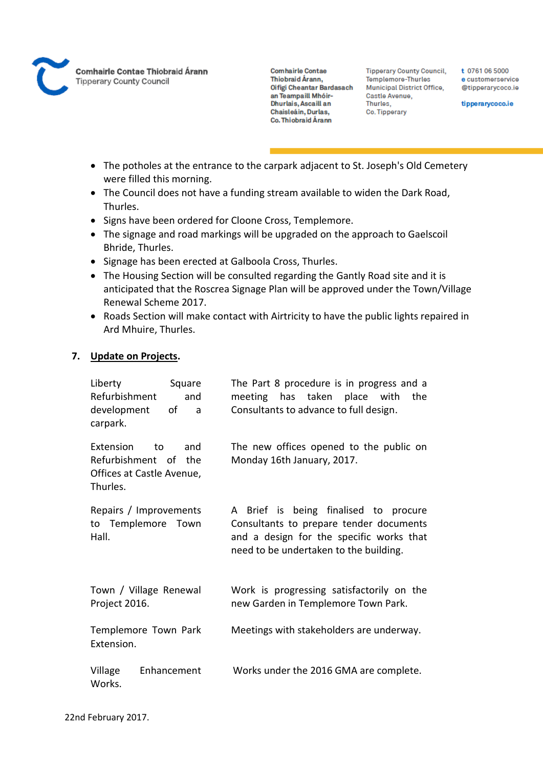

**Tipperary County Council,** Templemore-Thurles **Municipal District Office,** Castle Avenue, Thurles, Co. Tipperary

t 0761 06 5000 e customerservice @tipperarycoco.ie

tipperarycoco.ie

- The potholes at the entrance to the carpark adjacent to St. Joseph's Old Cemetery were filled this morning.
- The Council does not have a funding stream available to widen the Dark Road, Thurles.
- Signs have been ordered for Cloone Cross, Templemore.
- The signage and road markings will be upgraded on the approach to Gaelscoil Bhride, Thurles.
- Signage has been erected at Galboola Cross, Thurles.
- The Housing Section will be consulted regarding the Gantly Road site and it is anticipated that the Roscrea Signage Plan will be approved under the Town/Village Renewal Scheme 2017.
- Roads Section will make contact with Airtricity to have the public lights repaired in Ard Mhuire, Thurles.

# **7. Update on Projects.**

| Liberty<br>Square<br>Refurbishment<br>and<br>development<br>οf<br>a<br>carpark.         | The Part 8 procedure is in progress and a<br>meeting has taken place with<br>the<br>Consultants to advance to full design.                                             |
|-----------------------------------------------------------------------------------------|------------------------------------------------------------------------------------------------------------------------------------------------------------------------|
| Extension<br>and<br>to<br>Refurbishment of the<br>Offices at Castle Avenue,<br>Thurles. | The new offices opened to the public on<br>Monday 16th January, 2017.                                                                                                  |
| Repairs / Improvements<br>to Templemore Town<br>Hall.                                   | A Brief is being finalised to procure<br>Consultants to prepare tender documents<br>and a design for the specific works that<br>need to be undertaken to the building. |
| Town / Village Renewal<br>Project 2016.                                                 | Work is progressing satisfactorily on the<br>new Garden in Templemore Town Park.                                                                                       |
| Templemore Town Park<br>Extension.                                                      | Meetings with stakeholders are underway.                                                                                                                               |
| Village<br>Enhancement<br>Works.                                                        | Works under the 2016 GMA are complete.                                                                                                                                 |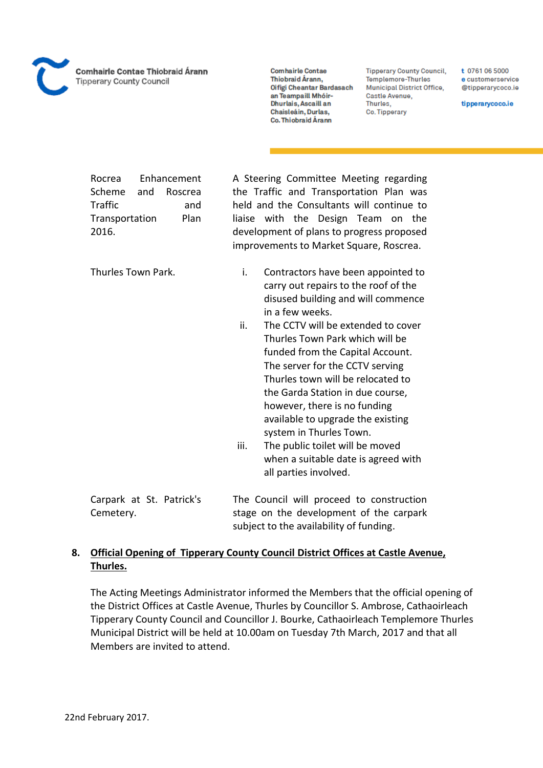**Comhairle Contae** Thiobraid Árann. Oifigi Cheantar Bardasach an Teampaill Mhóir-Dhurlais, Ascaill an Chaisleáin, Durlas, Co. Thiobraid Árann

**Tipperary County Council,** Templemore-Thurles Municipal District Office, Castle Avenue, Thurles. Co. Tipperary

t 0761 06 5000 e customerservice @tipperarycoco.ie

tipperarycoco.ie

Rocrea Enhancement Scheme and Roscrea Traffic and Transportation Plan 2016.

A Steering Committee Meeting regarding the Traffic and Transportation Plan was held and the Consultants will continue to liaise with the Design Team on the development of plans to progress proposed improvements to Market Square, Roscrea.

Thurles Town Park.

- i. Contractors have been appointed to carry out repairs to the roof of the disused building and will commence in a few weeks.
- ii. The CCTV will be extended to cover Thurles Town Park which will be funded from the Capital Account. The server for the CCTV serving Thurles town will be relocated to the Garda Station in due course, however, there is no funding available to upgrade the existing system in Thurles Town.
- iii. The public toilet will be moved when a suitable date is agreed with all parties involved.

Carpark at St. Patrick's Cemetery. The Council will proceed to construction stage on the development of the carpark subject to the availability of funding.

# **8. Official Opening of Tipperary County Council District Offices at Castle Avenue, Thurles.**

The Acting Meetings Administrator informed the Members that the official opening of the District Offices at Castle Avenue, Thurles by Councillor S. Ambrose, Cathaoirleach Tipperary County Council and Councillor J. Bourke, Cathaoirleach Templemore Thurles Municipal District will be held at 10.00am on Tuesday 7th March, 2017 and that all Members are invited to attend.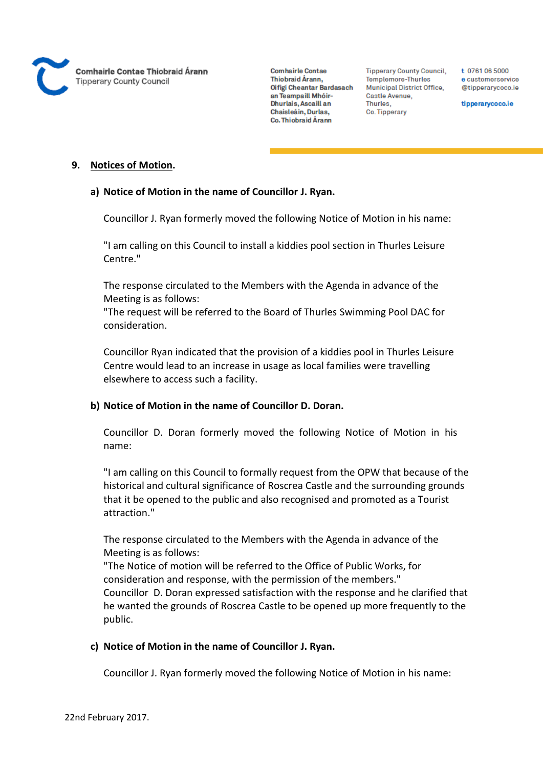

**Tipperary County Council,** Templemore-Thurles Municipal District Office, Castle Avenue, Thurles. Co. Tipperary

t 0761 06 5000 e customerservice @tipperarycoco.ie

tipperarycoco.ie

#### **9. Notices of Motion.**

#### **a) Notice of Motion in the name of Councillor J. Ryan.**

Councillor J. Ryan formerly moved the following Notice of Motion in his name:

"I am calling on this Council to install a kiddies pool section in Thurles Leisure Centre."

The response circulated to the Members with the Agenda in advance of the Meeting is as follows:

"The request will be referred to the Board of Thurles Swimming Pool DAC for consideration.

Councillor Ryan indicated that the provision of a kiddies pool in Thurles Leisure Centre would lead to an increase in usage as local families were travelling elsewhere to access such a facility.

# **b) Notice of Motion in the name of Councillor D. Doran.**

Councillor D. Doran formerly moved the following Notice of Motion in his name:

"I am calling on this Council to formally request from the OPW that because of the historical and cultural significance of Roscrea Castle and the surrounding grounds that it be opened to the public and also recognised and promoted as a Tourist attraction."

The response circulated to the Members with the Agenda in advance of the Meeting is as follows:

"The Notice of motion will be referred to the Office of Public Works, for consideration and response, with the permission of the members." Councillor D. Doran expressed satisfaction with the response and he clarified that he wanted the grounds of Roscrea Castle to be opened up more frequently to the public.

# **c) Notice of Motion in the name of Councillor J. Ryan.**

Councillor J. Ryan formerly moved the following Notice of Motion in his name: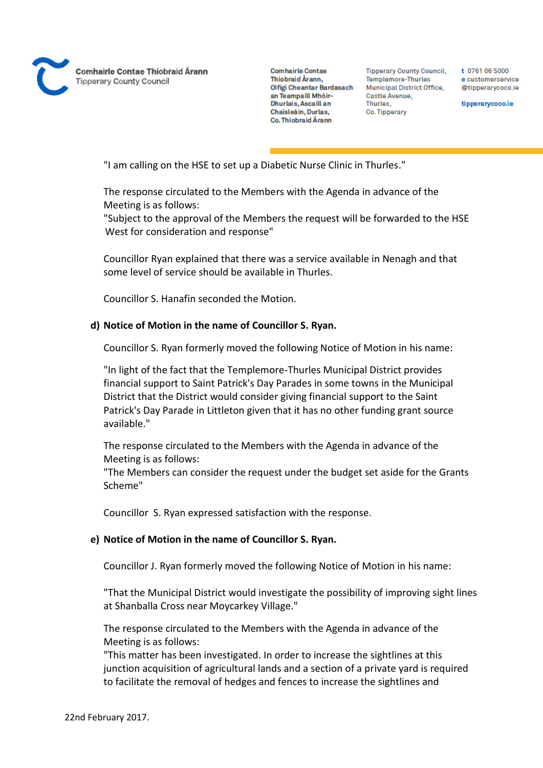

**Tipperary County Council,** Templemore-Thurles Municipal District Office, Castle Avenue, Thurles. Co. Tipperary

t 0761 06 5000 e customerservice @tipperarycoco.ie

tipperarycoco.ie

"I am calling on the HSE to set up a Diabetic Nurse Clinic in Thurles."

The response circulated to the Members with the Agenda in advance of the Meeting is as follows:

"Subject to the approval of the Members the request will be forwarded to the HSE West for consideration and response"

Councillor Ryan explained that there was a service available in Nenagh and that some level of service should be available in Thurles.

Councillor S. Hanafin seconded the Motion.

# **d) Notice of Motion in the name of Councillor S. Ryan.**

Councillor S. Ryan formerly moved the following Notice of Motion in his name:

"In light of the fact that the Templemore-Thurles Municipal District provides financial support to Saint Patrick's Day Parades in some towns in the Municipal District that the District would consider giving financial support to the Saint Patrick's Day Parade in Littleton given that it has no other funding grant source available."

The response circulated to the Members with the Agenda in advance of the Meeting is as follows:

"The Members can consider the request under the budget set aside for the Grants Scheme"

Councillor S. Ryan expressed satisfaction with the response.

# **e) Notice of Motion in the name of Councillor S. Ryan.**

Councillor J. Ryan formerly moved the following Notice of Motion in his name:

"That the Municipal District would investigate the possibility of improving sight lines at Shanballa Cross near Moycarkey Village."

The response circulated to the Members with the Agenda in advance of the Meeting is as follows:

"This matter has been investigated. In order to increase the sightlines at this junction acquisition of agricultural lands and a section of a private yard is required to facilitate the removal of hedges and fences to increase the sightlines and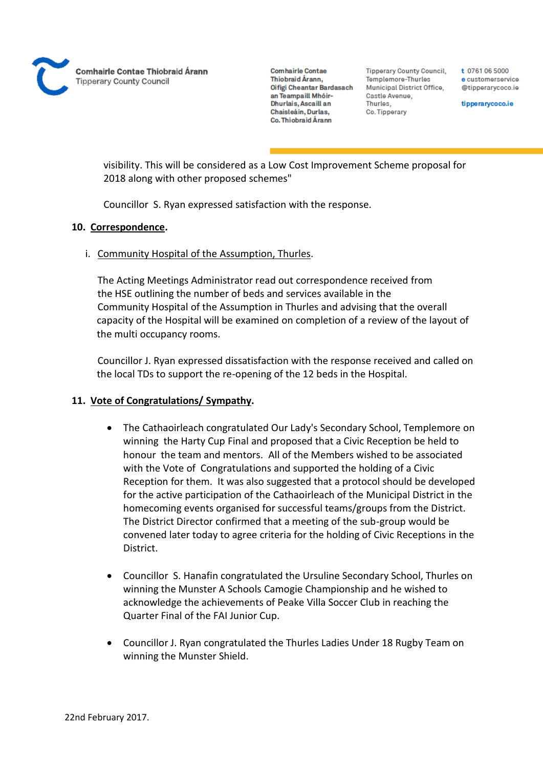

**Tipperary County Council,** Templemore-Thurles Municipal District Office, Castle Avenue, Thurles, Co. Tipperary

t 0761 06 5000 e customerservice @tipperarycoco.ie

tipperarycoco.ie

visibility. This will be considered as a Low Cost Improvement Scheme proposal for 2018 along with other proposed schemes"

Councillor S. Ryan expressed satisfaction with the response.

# **10. Correspondence.**

# i. Community Hospital of the Assumption, Thurles.

The Acting Meetings Administrator read out correspondence received from the HSE outlining the number of beds and services available in the Community Hospital of the Assumption in Thurles and advising that the overall capacity of the Hospital will be examined on completion of a review of the layout of the multi occupancy rooms.

Councillor J. Ryan expressed dissatisfaction with the response received and called on the local TDs to support the re-opening of the 12 beds in the Hospital.

# **11. Vote of Congratulations/ Sympathy.**

- The Cathaoirleach congratulated Our Lady's Secondary School, Templemore on winning the Harty Cup Final and proposed that a Civic Reception be held to honour the team and mentors. All of the Members wished to be associated with the Vote of Congratulations and supported the holding of a Civic Reception for them. It was also suggested that a protocol should be developed for the active participation of the Cathaoirleach of the Municipal District in the homecoming events organised for successful teams/groups from the District. The District Director confirmed that a meeting of the sub-group would be convened later today to agree criteria for the holding of Civic Receptions in the District.
- Councillor S. Hanafin congratulated the Ursuline Secondary School, Thurles on winning the Munster A Schools Camogie Championship and he wished to acknowledge the achievements of Peake Villa Soccer Club in reaching the Quarter Final of the FAI Junior Cup.
- Councillor J. Ryan congratulated the Thurles Ladies Under 18 Rugby Team on winning the Munster Shield.